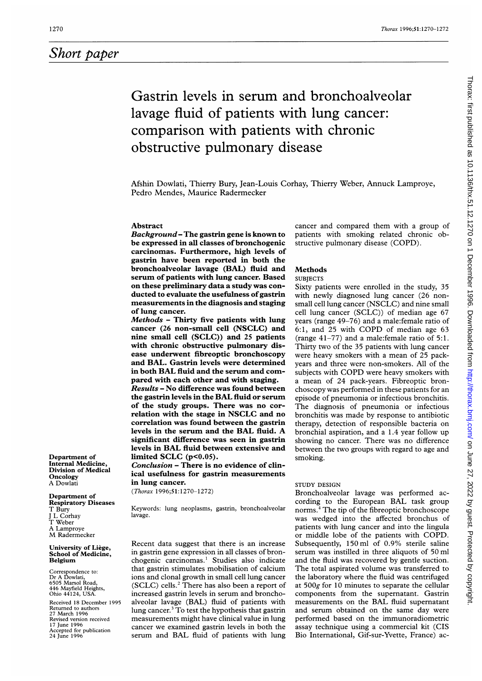## Short paper

# Gastrin levels in serum and bronchoalveolar lavage fluid of patients with lung cancer: comparison with patients with chronic obstructive pulmonary disease

Afshin Dowlati, Thierry Bury, Jean-Louis Corhay, Thierry Weber, Annuck Lamproye, Pedro Mendes, Maurice Radermecker

### Abstract

Background- The gastrin gene is known to be expressed in all classes of bronchogenic carcinomas. Furthermore, high levels of gastrin have been reported in both the bronchoalveolar lavage (BAL) fluid and serum of patients with lung cancer. Based on these preliminary data a study was conducted to evaluate the usefulness of gastrin measurements in the diagnosis and staging of lung cancer.

Methods - Thirty five patients with lung cancer (26 non-small cell (NSCLC) and nine small cell (SCLC)) and 25 patients with chronic obstructive pulmonary disease underwent fibreoptic bronchoscopy and BAL. Gastrin levels were determined in both BAL fluid and the serum and compared with each other and with staging. Results - No difference was found between the gastrin levels in the BAL fluid or serum of the study groups. There was no correlation with the stage in NSCLC and no correlation was found between the gastrin levels in the serum and the BAL fluid. A

significant difference was seen in gastrin levels in BAL fluid between extensive and limited SCLC (p<0.05). Conclusion - There is no evidence of clin-

ical usefulness for gastrin measurements in lung cancer.

(Thorax 1996;51:1270-1272)

Keywords: lung neoplasms, gastrin, bronchoalveolar lavage.

Recent data suggest that there is an increase in gastrin gene expression in all classes of bronchogenic carcinomas.' Studies also indicate that gastrin stimulates mobilisation of calcium ions and clonal growth in small cell lung cancer  $(SCLC)$  cells.<sup>2</sup> There has also been a report of increased gastrin levels in serum and bronchoalveolar lavage (BAL) fluid of patients with lung cancer.<sup>3</sup> To test the hypothesis that gastrin measurements might have clinical value in lung cancer we examined gastrin levels in both the serum and BAL fluid of patients with lung

cancer and compared them with a group of patients with smoking related chronic obstructive pulmonary disease (COPD).

## Methods

## **SUBJECTS**

Sixty patients were enrolled in the study, 35 with newly diagnosed lung cancer (26 nonsmall cell lung cancer (NSCLC) and nine small cell lung cancer (SCLC)) of median age 67 years (range 49-76) and a male:female ratio of 6:1, and <sup>25</sup> with COPD of median age <sup>63</sup> (range 41-77) and a male:female ratio of 5:1. Thirty two of the 35 patients with lung cancer were heavy smokers with <sup>a</sup> mean of 25 packyears and three were non-smokers. All of the subjects with COPD were heavy smokers with <sup>a</sup> mean of 24 pack-years. Fibreoptic bronchoscopy was performed in these patients for an episode of pneumonia or infectious bronchitis. The diagnosis of pneumonia or infectious bronchitis was made by response to antibiotic therapy, detection of responsible bacteria on bronchial aspiration, and a 1.4 year follow up showing no cancer. There was no difference between the two groups with regard to age and smoking.

## STUDY DESIGN

Bronchoalveolar lavage was performed according to the European BAL task group norms.4 The tip of the fibreoptic bronchoscope was wedged into the affected bronchus of patients with lung cancer and into the lingula or middle lobe of the patients with COPD. Subsequently, 150 ml of 0.9% sterile saline serum was instilled in three aliquots of 50 ml and the fluid was recovered by gentle suction. The total aspirated volume was transferred to the laboratory where the fluid was centrifuged at 5OOg for 10 minutes to separate the cellular components from the supernatant. Gastrin measurements on the BAL fluid supernatant and serum obtained on the same day were performed based on the immunoradiometric assay technique using a commercial kit (CIS Bio International, Gif-sur-Yvette, France) ac-

Department of Internal Medicine, Division of Medical **Oncology** A Dowlati

#### Department of Respiratory Diseases

T Bury J L Corhay T Weber A Lamproye

M Radermecker

#### University of Liege, School of Medicine, Belgium

Correspondence to: Dr A Dowlati, 6505 Marsol Road, 446 Mayfield Heights, Ohio 44124, USA.

Received 18 December 1995 Returned to authors 27 March 1996 Revised version received 17 June 1996 Accepted for publication 24 June 1996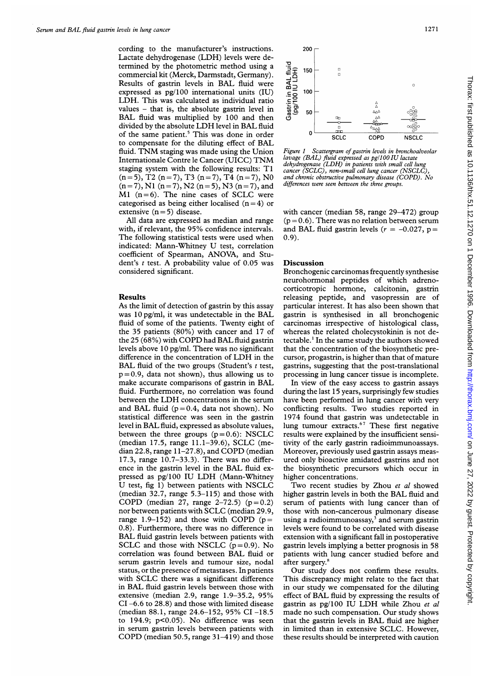cording to the manufacturer's instructions. Lactate dehydrogenase (LDH) levels were determined by the photometric method using a commercial kit (Merck, Darmstadt, Germany). Results of gastrin levels in BAL fluid were expressed as pg/lOO international units (IU) LDH. This was calculated as individual ratio values  $-$  that is, the absolute gastrin level in BAL fluid was multiplied by 100 and then divided by the absolute LDH level in BAL fluid of the same patient.<sup>5</sup> This was done in order to compensate for the diluting effect of BAL fluid. TNM staging was made using the Union Internationale Contre le Cancer (UICC) TNM staging system with the following results: TI  $(n=5)$ , T2  $(n=7)$ , T3  $(n=7)$ , T4  $(n=7)$ , N0  $(n=7)$ , N1  $(n=7)$ , N2  $(n=5)$ , N3  $(n=7)$ , and  $M1$  (n=6). The nine cases of SCLC were categorised as being either localised  $(n=4)$  or extensive  $(n=5)$  disease.

All data are expressed as median and range with, if relevant, the 95% confidence intervals. The following statistical tests were used when indicated: Mann-Whitney U test, correlation coefficient of Spearman, ANOVA, and Student's  $t$  test. A probability value of 0.05 was considered significant.

#### Results

As the limit of detection of gastrin by this assay was <sup>10</sup> pg/ml, it was undetectable in the BAL fluid of some of the patients. Twenty eight of the 35 patients (80%) with cancer and 17 of the 25 (68%) with COPD had BAL fluid gastrin levels above 10 pg/ml. There was no significant difference in the concentration of LDH in the BAL fluid of the two groups (Student's  $t$  test,  $p = 0.9$ , data not shown), thus allowing us to make accurate comparisons of gastrin in BAL fluid. Furthermore, no correlation was found between the LDH concentrations in the serum and BAL fluid ( $p = 0.4$ , data not shown). No statistical difference was seen in the gastrin level in BAL fluid, expressed as absolute values, between the three groups  $(p=0.6)$ : NSCLC (median 17.5, range 11.1-39.6), SCLC (median 22.8, range 11-27.8), and COPD (median 17.3, range 10.7-33.3). There was no difference in the gastrin level in the BAL fluid expressed as pg/lOO IU LDH (Mann-Whitney U test, fig 1) between patients with NSCLC (median 32.7, range 5.3-115) and those with COPD (median 27, range  $2-72.5$ ) ( $p=0.2$ ) nor between patients with SCLC (median 29.9, range 1.9–152) and those with COPD  $(p=$ 0.8). Furthermore, there was no difference in BAL fluid gastrin levels between patients with SCLC and those with NSCLC  $(p=0.9)$ . No correlation was found between BAL fluid or serum gastrin levels and tumour size, nodal status, or the presence of metastases. In patients with SCLC there was <sup>a</sup> significant difference in BAL fluid gastrin levels between those with extensive (median 2.9, range 1.9-35.2, 95% CI -6.6 to 28.8) and those with limited disease (median 88.1, range 24.6-152, 95% CI -18.5 to 194.9; p<0.05). No difference was seen in serum gastrin levels between patients with COPD (median 50.5, range 31-419) and those



Figure <sup>1</sup> Scattergram of gastrin levels in bronchoalveolar lavage (BAL) fluid expressed as pgll 00 IU lactate dehydrogenase (LDH) in patients with small cell lung cancer (SCLC), non-small cell lung cancer (NSCLC), and chronic obstructive pulmonary disease (COPD). No differences were seen between the three groups.

with cancer (median 58, range 29-472) group  $(p = 0.6)$ . There was no relation between serum and BAL fluid gastrin levels ( $r = -0.027$ , p= 0.9).

#### Discussion

Bronchogenic carcinomas frequently synthesise neurohormonal peptides of which adrenocorticotropic hormone, calcitonin, gastrin releasing peptide, and vasopressin are of particular interest. It has also been shown that gastrin is synthesised in all bronchogenic carcinomas irrespective of histological class, whereas the related cholecystokinin is not detectable.' In the same study the authors showed that the concentration of the biosynthetic precursor, progastrin, is higher than that of mature gastrins, suggesting that the post-translational processing in lung cancer tissue is incomplete.

In view of the easy access to gastrin assays during the last 15 years, surprisingly few studies have been performed in lung cancer with very conflicting results. Two studies reported in 1974 found that gastrin was undetectable in lung tumour extracts.<sup>67</sup> These first negative results were explained by the insufficient sensitivity of the early gastrin radioimmunoassays. Moreover, previously used gastrin assays measured only bioactive amidated gastrins and not the biosynthetic precursors which occur in higher concentrations.

Two recent studies by Zhou et al showed higher gastrin levels in both the BAL fluid and serum of patients with lung cancer than of those with non-cancerous pulmonary disease using a radioimmunoassay, $3$  and serum gastrin levels were found to be correlated with disease extension with a significant fall in postoperative gastrin levels implying a better prognosis in 58 patients with lung cancer studied before and after surgery.<sup>8</sup>

Our study does not confirm these results. This discrepancy might relate to the fact that in our study we compensated for the diluting effect of BAL fluid by expressing the results of gastrin as pg/100 IU LDH while Zhou et al made no such compensation. Our study shows that the gastrin levels in BAL fluid are higher in limited than in extensive SCLC. However, these results should be interpreted with caution